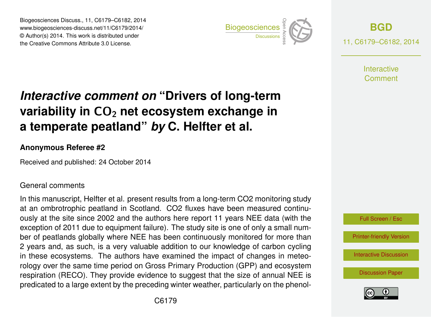Biogeosciences Discuss., 11, C6179–C6182, 2014 www.biogeosciences-discuss.net/11/C6179/2014/ © Author(s) 2014. This work is distributed under Biogeosciences Discuss., 11, C6179–C6182, 2014<br>www.biogeosciences-discuss.net/11/C6179/2014/<br>© Author(s) 2014. This work is distributed under<br>the Creative Commons Attribute 3.0 License.



**[BGD](http://www.biogeosciences-discuss.net)** 11, C6179–C6182, 2014

> **Interactive** Comment

# *Interactive comment on* **"Drivers of long-term variability in CO<sub>2</sub> net ecosystem exchange in a temperate peatland"** *by* **C. Helfter et al.**

### **Anonymous Referee #2**

Received and published: 24 October 2014

#### General comments

In this manuscript, Helfter et al. present results from a long-term CO2 monitoring study at an ombrotrophic peatland in Scotland. CO2 fluxes have been measured continuously at the site since 2002 and the authors here report 11 years NEE data (with the exception of 2011 due to equipment failure). The study site is one of only a small number of peatlands globally where NEE has been continuously monitored for more than 2 years and, as such, is a very valuable addition to our knowledge of carbon cycling in these ecosystems. The authors have examined the impact of changes in meteorology over the same time period on Gross Primary Production (GPP) and ecosystem respiration (RECO). They provide evidence to suggest that the size of annual NEE is predicated to a large extent by the preceding winter weather, particularly on the phenol-



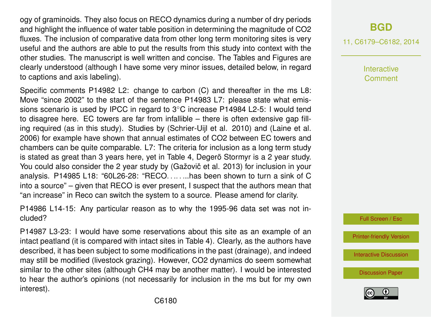ogy of graminoids. They also focus on RECO dynamics during a number of dry periods and highlight the influence of water table position in determining the magnitude of CO2 fluxes. The inclusion of comparative data from other long term monitoring sites is very useful and the authors are able to put the results from this study into context with the other studies. The manuscript is well written and concise. The Tables and Figures are clearly understood (although I have some very minor issues, detailed below, in regard to captions and axis labeling).

Specific comments P14982 L2: change to carbon (C) and thereafter in the ms L8: Move "since 2002" to the start of the sentence P14983 L7: please state what emissions scenario is used by IPCC in regard to 3◦C increase P14984 L2-5: I would tend to disagree here. EC towers are far from infallible – there is often extensive gap filling required (as in this study). Studies by (Schrier-Uijl et al. 2010) and (Laine et al. 2006) for example have shown that annual estimates of CO2 between EC towers and chambers can be quite comparable. L7: The criteria for inclusion as a long term study is stated as great than 3 years here, yet in Table 4, Degerö Stormyr is a 2 year study. You could also consider the 2 year study by (Gažovič et al. 2013) for inclusion in your analysis. P14985 L18: "60L26-28: "RECO. . .. . ...has been shown to turn a sink of C into a source" – given that RECO is ever present, I suspect that the authors mean that "an increase" in Reco can switch the system to a source. Please amend for clarity.

P14986 L14-15: Any particular reason as to why the 1995-96 data set was not included?

P14987 L3-23: I would have some reservations about this site as an example of an intact peatland (it is compared with intact sites in Table 4). Clearly, as the authors have described, it has been subject to some modifications in the past (drainage), and indeed may still be modified (livestock grazing). However, CO2 dynamics do seem somewhat similar to the other sites (although CH4 may be another matter). I would be interested to hear the author's opinions (not necessarily for inclusion in the ms but for my own interest).

## **[BGD](http://www.biogeosciences-discuss.net)**

11, C6179–C6182, 2014

Interactive Comment



[Printer-friendly Version](http://www.biogeosciences-discuss.net/11/C6179/2014/bgd-11-C6179-2014-print.pdf)

[Interactive Discussion](http://www.biogeosciences-discuss.net/11/14981/2014/bgd-11-14981-2014-discussion.html)

[Discussion Paper](http://www.biogeosciences-discuss.net/11/14981/2014/bgd-11-14981-2014.pdf)

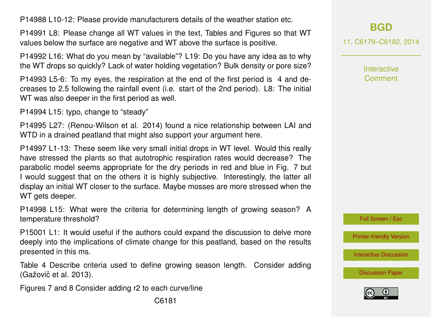P14988 L10-12: Please provide manufacturers details of the weather station etc.

P14991 L8: Please change all WT values in the text, Tables and Figures so that WT values below the surface are negative and WT above the surface is positive.

P14992 L16: What do you mean by "available"? L19: Do you have any idea as to why the WT drops so quickly? Lack of water holding vegetation? Bulk density or pore size?

P14993 L5-6: To my eyes, the respiration at the end of the first period is 4 and decreases to 2.5 following the rainfall event (i.e. start of the 2nd period). L8: The initial WT was also deeper in the first period as well.

P14994 L15: typo, change to "steady"

P14995 L27: (Renou-Wilson et al. 2014) found a nice relationship between LAI and WTD in a drained peatland that might also support your argument here.

P14997 L1-13: These seem like very small initial drops in WT level. Would this really have stressed the plants so that autotrophic respiration rates would decrease? The parabolic model seems appropriate for the dry periods in red and blue in Fig. 7 but I would suggest that on the others it is highly subjective. Interestingly, the latter all display an initial WT closer to the surface. Maybe mosses are more stressed when the WT gets deeper.

P14998 L15: What were the criteria for determining length of growing season? A temperature threshold?

P15001 L1: It would useful if the authors could expand the discussion to delve more deeply into the implications of climate change for this peatland, based on the results presented in this ms.

Table 4 Describe criteria used to define growing season length. Consider adding (Gažovič et al. 2013).

Figures 7 and 8 Consider adding r2 to each curve/line

Interactive **Comment** 



[Printer-friendly Version](http://www.biogeosciences-discuss.net/11/C6179/2014/bgd-11-C6179-2014-print.pdf)

[Interactive Discussion](http://www.biogeosciences-discuss.net/11/14981/2014/bgd-11-14981-2014-discussion.html)

[Discussion Paper](http://www.biogeosciences-discuss.net/11/14981/2014/bgd-11-14981-2014.pdf)